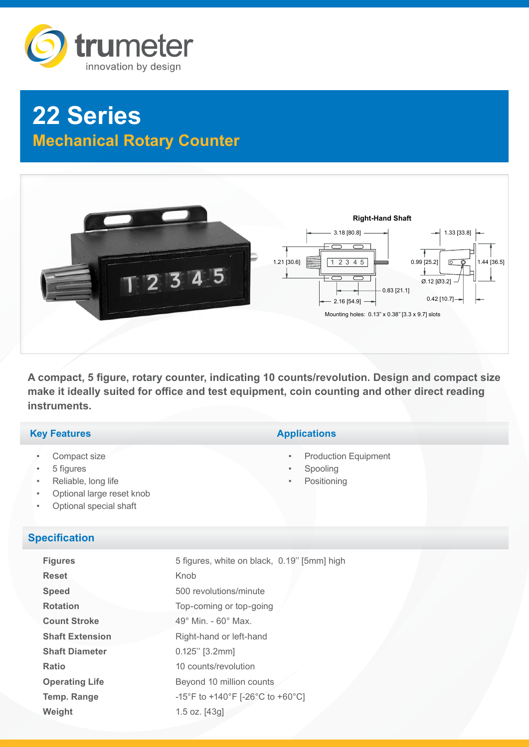

# **22 Series Mechanical Rotary Counter**



A compact, 5 figure, rotary counter, indicating 10 counts/revolution. Design and compact size **make it ideally suited for office and test equipment, coin counting and other direct reading**  3.18 [80.8] **instruments.**

#### **Key Features**

- Compact size
- 5 figures
- Reliable, long life
- Optional large reset knob
- Optional special shaft

#### **Specification**

| <b>Figures</b>         | 5 figures, white on black, 0.19" [5mm] high |
|------------------------|---------------------------------------------|
| <b>Reset</b>           | Knob                                        |
| <b>Speed</b>           | 500 revolutions/minute                      |
| <b>Rotation</b>        | Top-coming or top-going                     |
| <b>Count Stroke</b>    | $49^\circ$ Min. - 60 $^\circ$ Max.          |
| <b>Shaft Extension</b> | Right-hand or left-hand                     |
| <b>Shaft Diameter</b>  | $0.125"$ [3.2mm]                            |
| <b>Ratio</b>           | 10 counts/revolution                        |
| <b>Operating Life</b>  | Beyond 10 million counts                    |
| <b>Temp. Range</b>     | -15°F to +140°F [-26°C to +60°C]            |
| Weight                 | 1.5 oz. $[43g]$                             |

## **Applications**

- **Production Equipment**
- **Spooling**
- **Positioning**